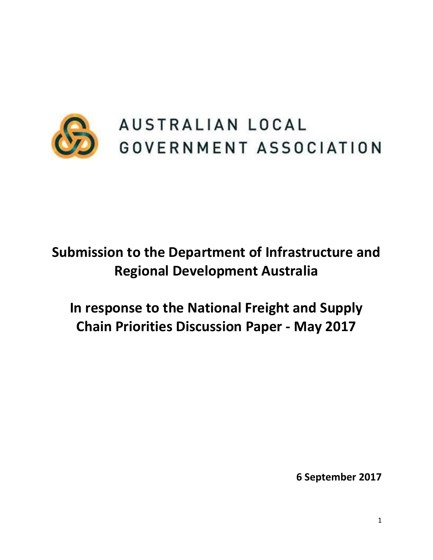

# **Submission to the Department of Infrastructure and Regional Development Australia**

**In response to the National Freight and Supply Chain Priorities Discussion Paper - May 2017**

**6 September 2017**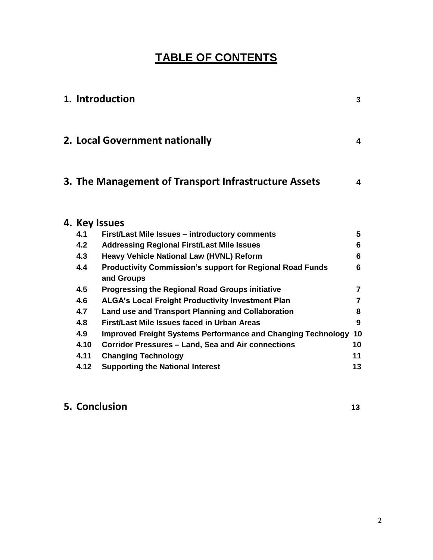# **TABLE OF CONTENTS**

|               | 1. Introduction                                                                | $\overline{3}$ |
|---------------|--------------------------------------------------------------------------------|----------------|
|               | 2. Local Government nationally                                                 | 4              |
|               | 3. The Management of Transport Infrastructure Assets                           | 4              |
| 4. Key Issues |                                                                                |                |
| 4.1           | <b>First/Last Mile Issues - introductory comments</b>                          | 5              |
| 4.2           | <b>Addressing Regional First/Last Mile Issues</b>                              | 6              |
| 4.3           | Heavy Vehicle National Law (HVNL) Reform                                       | 6              |
| 4.4           | <b>Productivity Commission's support for Regional Road Funds</b><br>and Groups | 6              |
| 4.5           | <b>Progressing the Regional Road Groups initiative</b>                         | $\overline{7}$ |
| 4.6           | <b>ALGA's Local Freight Productivity Investment Plan</b>                       | $\overline{7}$ |
| 4.7           | Land use and Transport Planning and Collaboration                              | 8              |
| 4.8           | First/Last Mile Issues faced in Urban Areas                                    | 9              |
| 4.9           | <b>Improved Freight Systems Performance and Changing Technology</b>            | 10             |
| 4.10          | <b>Corridor Pressures - Land, Sea and Air connections</b>                      | 10             |
| 4.11          | <b>Changing Technology</b>                                                     | 11             |
| 4.12          | <b>Supporting the National Interest</b>                                        | 13             |

# **5. Conclusion <sup>13</sup>**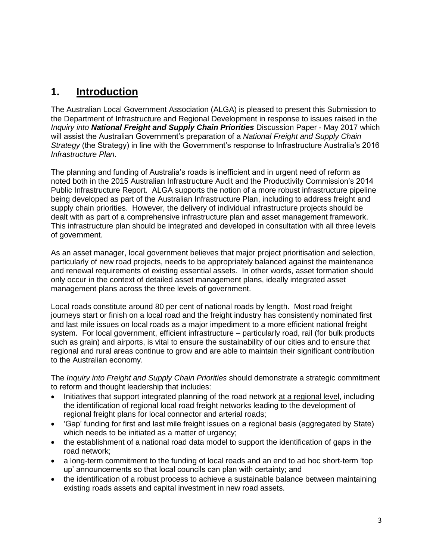### **1. Introduction**

The Australian Local Government Association (ALGA) is pleased to present this Submission to the Department of Infrastructure and Regional Development in response to issues raised in the *Inquiry into National Freight and Supply Chain Priorities* Discussion Paper - May 2017 which will assist the Australian Government's preparation of a *National Freight and Supply Chain Strategy* (the Strategy) in line with the Government's response to Infrastructure Australia's 2016 *Infrastructure Plan*.

The planning and funding of Australia's roads is inefficient and in urgent need of reform as noted both in the 2015 Australian Infrastructure Audit and the Productivity Commission's 2014 Public Infrastructure Report. ALGA supports the notion of a more robust infrastructure pipeline being developed as part of the Australian Infrastructure Plan, including to address freight and supply chain priorities. However, the delivery of individual infrastructure projects should be dealt with as part of a comprehensive infrastructure plan and asset management framework. This infrastructure plan should be integrated and developed in consultation with all three levels of government.

As an asset manager, local government believes that major project prioritisation and selection, particularly of new road projects, needs to be appropriately balanced against the maintenance and renewal requirements of existing essential assets. In other words, asset formation should only occur in the context of detailed asset management plans, ideally integrated asset management plans across the three levels of government.

Local roads constitute around 80 per cent of national roads by length. Most road freight journeys start or finish on a local road and the freight industry has consistently nominated first and last mile issues on local roads as a major impediment to a more efficient national freight system. For local government, efficient infrastructure – particularly road, rail (for bulk products such as grain) and airports, is vital to ensure the sustainability of our cities and to ensure that regional and rural areas continue to grow and are able to maintain their significant contribution to the Australian economy.

The *Inquiry into Freight and Supply Chain Priorities* should demonstrate a strategic commitment to reform and thought leadership that includes:

- Initiatives that support integrated planning of the road network at a regional level, including the identification of regional local road freight networks leading to the development of regional freight plans for local connector and arterial roads;
- 'Gap' funding for first and last mile freight issues on a regional basis (aggregated by State) which needs to be initiated as a matter of urgency;
- the establishment of a national road data model to support the identification of gaps in the road network;
- a long-term commitment to the funding of local roads and an end to ad hoc short-term 'top up' announcements so that local councils can plan with certainty; and
- the identification of a robust process to achieve a sustainable balance between maintaining existing roads assets and capital investment in new road assets.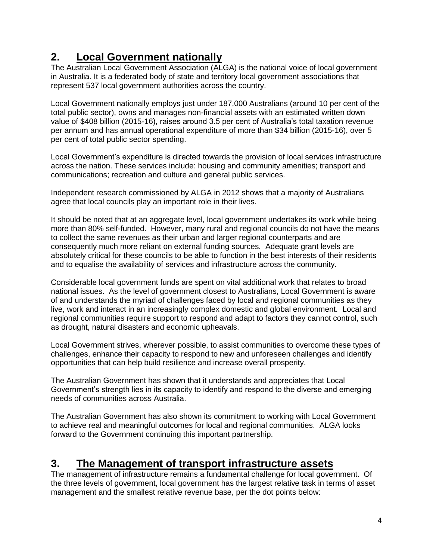# **2. Local Government nationally**

The Australian Local Government Association (ALGA) is the national voice of local government in Australia. It is a federated body of state and territory local government associations that represent 537 local government authorities across the country.

Local Government nationally employs just under 187,000 Australians (around 10 per cent of the total public sector), owns and manages non-financial assets with an estimated written down value of \$408 billion (2015-16), raises around 3.5 per cent of Australia's total taxation revenue per annum and has annual operational expenditure of more than \$34 billion (2015-16), over 5 per cent of total public sector spending.

Local Government's expenditure is directed towards the provision of local services infrastructure across the nation. These services include: housing and community amenities; transport and communications; recreation and culture and general public services.

Independent research commissioned by ALGA in 2012 shows that a majority of Australians agree that local councils play an important role in their lives.

It should be noted that at an aggregate level, local government undertakes its work while being more than 80% self-funded. However, many rural and regional councils do not have the means to collect the same revenues as their urban and larger regional counterparts and are consequently much more reliant on external funding sources. Adequate grant levels are absolutely critical for these councils to be able to function in the best interests of their residents and to equalise the availability of services and infrastructure across the community.

Considerable local government funds are spent on vital additional work that relates to broad national issues. As the level of government closest to Australians, Local Government is aware of and understands the myriad of challenges faced by local and regional communities as they live, work and interact in an increasingly complex domestic and global environment. Local and regional communities require support to respond and adapt to factors they cannot control, such as drought, natural disasters and economic upheavals.

Local Government strives, wherever possible, to assist communities to overcome these types of challenges, enhance their capacity to respond to new and unforeseen challenges and identify opportunities that can help build resilience and increase overall prosperity.

The Australian Government has shown that it understands and appreciates that Local Government's strength lies in its capacity to identify and respond to the diverse and emerging needs of communities across Australia.

The Australian Government has also shown its commitment to working with Local Government to achieve real and meaningful outcomes for local and regional communities. ALGA looks forward to the Government continuing this important partnership.

### **3. The Management of transport infrastructure assets**

The management of infrastructure remains a fundamental challenge for local government. Of the three levels of government, local government has the largest relative task in terms of asset management and the smallest relative revenue base, per the dot points below: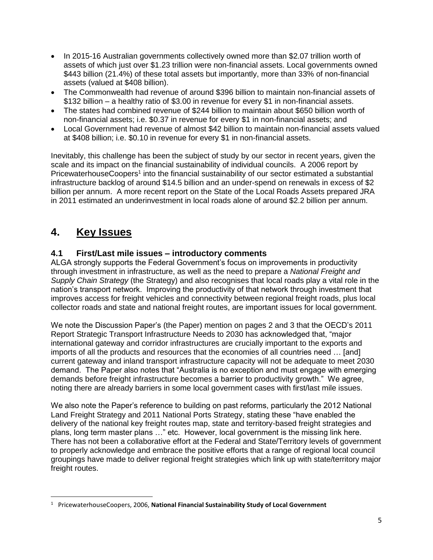- In 2015-16 Australian governments collectively owned more than \$2.07 trillion worth of assets of which just over \$1.23 trillion were non-financial assets. Local governments owned \$443 billion (21.4%) of these total assets but importantly, more than 33% of non-financial assets (valued at \$408 billion).
- The Commonwealth had revenue of around \$396 billion to maintain non-financial assets of \$132 billion – a healthy ratio of \$3.00 in revenue for every \$1 in non-financial assets.
- The states had combined revenue of \$244 billion to maintain about \$650 billion worth of non-financial assets; i.e. \$0.37 in revenue for every \$1 in non-financial assets; and
- Local Government had revenue of almost \$42 billion to maintain non-financial assets valued at \$408 billion; i.e. \$0.10 in revenue for every \$1 in non-financial assets.

Inevitably, this challenge has been the subject of study by our sector in recent years, given the scale and its impact on the financial sustainability of individual councils. A 2006 report by PricewaterhouseCoopers<sup>1</sup> into the financial sustainability of our sector estimated a substantial infrastructure backlog of around \$14.5 billion and an under-spend on renewals in excess of \$2 billion per annum. A more recent report on the State of the Local Roads Assets prepared JRA in 2011 estimated an underinvestment in local roads alone of around \$2.2 billion per annum.

### **4. Key Issues**

 $\overline{\phantom{a}}$ 

#### **4.1 First/Last mile issues – introductory comments**

ALGA strongly supports the Federal Government's focus on improvements in productivity through investment in infrastructure, as well as the need to prepare a *National Freight and Supply Chain Strategy* (the Strategy) and also recognises that local roads play a vital role in the nation's transport network. Improving the productivity of that network through investment that improves access for freight vehicles and connectivity between regional freight roads, plus local collector roads and state and national freight routes, are important issues for local government.

We note the Discussion Paper's (the Paper) mention on pages 2 and 3 that the OECD's 2011 Report Strategic Transport Infrastructure Needs to 2030 has acknowledged that, "major international gateway and corridor infrastructures are crucially important to the exports and imports of all the products and resources that the economies of all countries need … [and] current gateway and inland transport infrastructure capacity will not be adequate to meet 2030 demand. The Paper also notes that "Australia is no exception and must engage with emerging demands before freight infrastructure becomes a barrier to productivity growth." We agree, noting there are already barriers in some local government cases with first/last mile issues.

We also note the Paper's reference to building on past reforms, particularly the 2012 National Land Freight Strategy and 2011 National Ports Strategy, stating these "have enabled the delivery of the national key freight routes map, state and territory-based freight strategies and plans, long term master plans …" etc. However, local government is the missing link here. There has not been a collaborative effort at the Federal and State/Territory levels of government to properly acknowledge and embrace the positive efforts that a range of regional local council groupings have made to deliver regional freight strategies which link up with state/territory major freight routes.

<sup>1</sup> PricewaterhouseCoopers, 2006, **National Financial Sustainability Study of Local Government**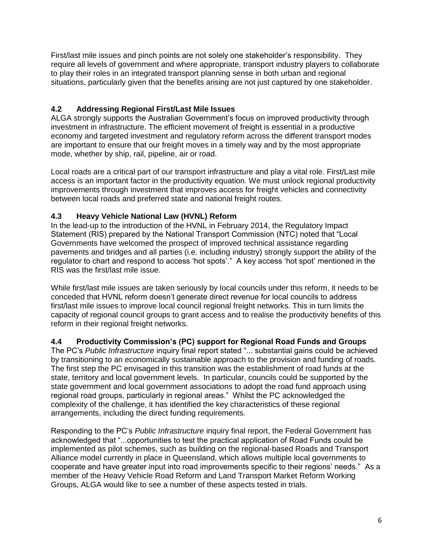First/last mile issues and pinch points are not solely one stakeholder's responsibility. They require all levels of government and where appropriate, transport industry players to collaborate to play their roles in an integrated transport planning sense in both urban and regional situations, particularly given that the benefits arising are not just captured by one stakeholder.

#### **4.2 Addressing Regional First/Last Mile Issues**

ALGA strongly supports the Australian Government's focus on improved productivity through investment in infrastructure. The efficient movement of freight is essential in a productive economy and targeted investment and regulatory reform across the different transport modes are important to ensure that our freight moves in a timely way and by the most appropriate mode, whether by ship, rail, pipeline, air or road.

Local roads are a critical part of our transport infrastructure and play a vital role. First/Last mile access is an important factor in the productivity equation. We must unlock regional productivity improvements through investment that improves access for freight vehicles and connectivity between local roads and preferred state and national freight routes.

#### **4.3 Heavy Vehicle National Law (HVNL) Reform**

In the lead-up to the introduction of the HVNL in February 2014, the Regulatory Impact Statement (RIS) prepared by the National Transport Commission (NTC) noted that "Local Governments have welcomed the prospect of improved technical assistance regarding pavements and bridges and all parties (i.e. including industry) strongly support the ability of the regulator to chart and respond to access 'hot spots'." A key access 'hot spot' mentioned in the RIS was the first/last mile issue.

While first/last mile issues are taken seriously by local councils under this reform, it needs to be conceded that HVNL reform doesn't generate direct revenue for local councils to address first/last mile issues to improve local council regional freight networks. This in turn limits the capacity of regional council groups to grant access and to realise the productivity benefits of this reform in their regional freight networks.

#### **4.4 Productivity Commission's (PC) support for Regional Road Funds and Groups**

The PC's *Public Infrastructure* inquiry final report stated "... substantial gains could be achieved by transitioning to an economically sustainable approach to the provision and funding of roads. The first step the PC envisaged in this transition was the establishment of road funds at the state, territory and local government levels. In particular, councils could be supported by the state government and local government associations to adopt the road fund approach using regional road groups, particularly in regional areas." Whilst the PC acknowledged the complexity of the challenge, it has identified the key characteristics of these regional arrangements, including the direct funding requirements.

Responding to the PC's *Public Infrastructure* inquiry final report, the Federal Government has acknowledged that "...opportunities to test the practical application of Road Funds could be implemented as pilot schemes, such as building on the regional-based Roads and Transport Alliance model currently in place in Queensland, which allows multiple local governments to cooperate and have greater input into road improvements specific to their regions' needs." As a member of the Heavy Vehicle Road Reform and Land Transport Market Reform Working Groups, ALGA would like to see a number of these aspects tested in trials.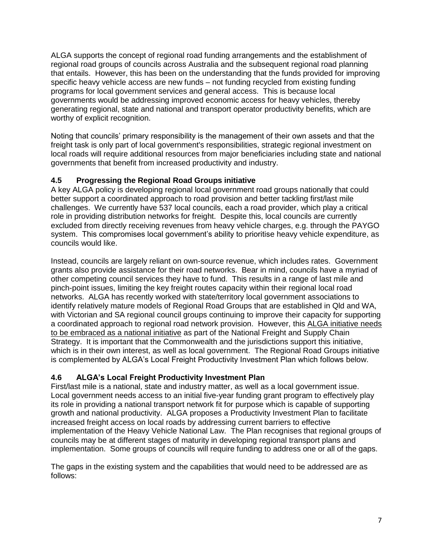ALGA supports the concept of regional road funding arrangements and the establishment of regional road groups of councils across Australia and the subsequent regional road planning that entails. However, this has been on the understanding that the funds provided for improving specific heavy vehicle access are new funds – not funding recycled from existing funding programs for local government services and general access. This is because local governments would be addressing improved economic access for heavy vehicles, thereby generating regional, state and national and transport operator productivity benefits, which are worthy of explicit recognition.

Noting that councils' primary responsibility is the management of their own assets and that the freight task is only part of local government's responsibilities, strategic regional investment on local roads will require additional resources from major beneficiaries including state and national governments that benefit from increased productivity and industry.

#### **4.5 Progressing the Regional Road Groups initiative**

A key ALGA policy is developing regional local government road groups nationally that could better support a coordinated approach to road provision and better tackling first/last mile challenges. We currently have 537 local councils, each a road provider, which play a critical role in providing distribution networks for freight. Despite this, local councils are currently excluded from directly receiving revenues from heavy vehicle charges, e.g. through the PAYGO system. This compromises local government's ability to prioritise heavy vehicle expenditure, as councils would like.

Instead, councils are largely reliant on own-source revenue, which includes rates. Government grants also provide assistance for their road networks. Bear in mind, councils have a myriad of other competing council services they have to fund. This results in a range of last mile and pinch-point issues, limiting the key freight routes capacity within their regional local road networks. ALGA has recently worked with state/territory local government associations to identify relatively mature models of Regional Road Groups that are established in Qld and WA, with Victorian and SA regional council groups continuing to improve their capacity for supporting a coordinated approach to regional road network provision. However, this ALGA initiative needs to be embraced as a national initiative as part of the National Freight and Supply Chain Strategy. It is important that the Commonwealth and the jurisdictions support this initiative, which is in their own interest, as well as local government. The Regional Road Groups initiative is complemented by ALGA's Local Freight Productivity Investment Plan which follows below.

#### **4.6 ALGA's Local Freight Productivity Investment Plan**

First/last mile is a national, state and industry matter, as well as a local government issue. Local government needs access to an initial five-year funding grant program to effectively play its role in providing a national transport network fit for purpose which is capable of supporting growth and national productivity. ALGA proposes a Productivity Investment Plan to facilitate increased freight access on local roads by addressing current barriers to effective implementation of the Heavy Vehicle National Law. The Plan recognises that regional groups of councils may be at different stages of maturity in developing regional transport plans and implementation. Some groups of councils will require funding to address one or all of the gaps.

The gaps in the existing system and the capabilities that would need to be addressed are as follows: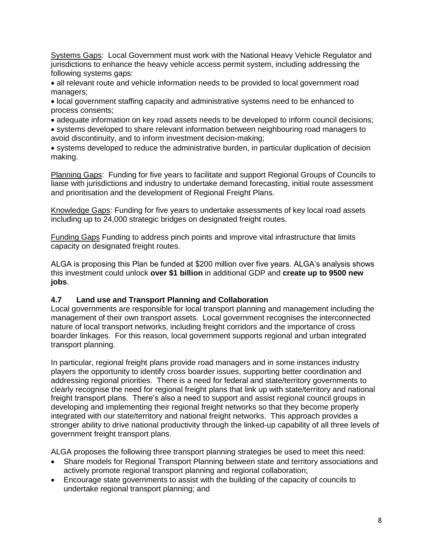Systems Gaps: Local Government must work with the National Heavy Vehicle Regulator and jurisdictions to enhance the heavy vehicle access permit system, including addressing the following systems gaps:

 all relevant route and vehicle information needs to be provided to local government road managers;

 local government staffing capacity and administrative systems need to be enhanced to process consents;

adequate information on key road assets needs to be developed to inform council decisions;

 systems developed to share relevant information between neighbouring road managers to avoid discontinuity, and to inform investment decision-making;

 systems developed to reduce the administrative burden, in particular duplication of decision making.

Planning Gaps: Funding for five years to facilitate and support Regional Groups of Councils to liaise with jurisdictions and industry to undertake demand forecasting, initial route assessment and prioritisation and the development of Regional Freight Plans.

Knowledge Gaps: Funding for five years to undertake assessments of key local road assets including up to 24,000 strategic bridges on designated freight routes.

Funding Gaps Funding to address pinch points and improve vital infrastructure that limits capacity on designated freight routes.

ALGA is proposing this Plan be funded at \$200 million over five years. ALGA's analysis shows this investment could unlock **over \$1 billion** in additional GDP and **create up to 9500 new jobs**.

#### **4.7 Land use and Transport Planning and Collaboration**

Local governments are responsible for local transport planning and management including the management of their own transport assets. Local government recognises the interconnected nature of local transport networks, including freight corridors and the importance of cross boarder linkages. For this reason, local government supports regional and urban integrated transport planning.

In particular, regional freight plans provide road managers and in some instances industry players the opportunity to identify cross boarder issues, supporting better coordination and addressing regional priorities. There is a need for federal and state/territory governments to clearly recognise the need for regional freight plans that link up with state/territory and national freight transport plans. There's also a need to support and assist regional council groups in developing and implementing their regional freight networks so that they become properly integrated with our state/territory and national freight networks. This approach provides a stronger ability to drive national productivity through the linked-up capability of all three levels of government freight transport plans.

ALGA proposes the following three transport planning strategies be used to meet this need:

- Share models for Regional Transport Planning between state and territory associations and actively promote regional transport planning and regional collaboration;
- Encourage state governments to assist with the building of the capacity of councils to undertake regional transport planning; and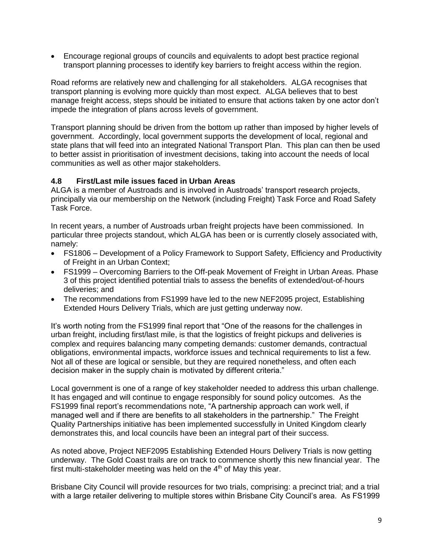Encourage regional groups of councils and equivalents to adopt best practice regional transport planning processes to identify key barriers to freight access within the region.

Road reforms are relatively new and challenging for all stakeholders. ALGA recognises that transport planning is evolving more quickly than most expect. ALGA believes that to best manage freight access, steps should be initiated to ensure that actions taken by one actor don't impede the integration of plans across levels of government.

Transport planning should be driven from the bottom up rather than imposed by higher levels of government. Accordingly, local government supports the development of local, regional and state plans that will feed into an integrated National Transport Plan. This plan can then be used to better assist in prioritisation of investment decisions, taking into account the needs of local communities as well as other major stakeholders.

#### **4.8 First/Last mile issues faced in Urban Areas**

ALGA is a member of Austroads and is involved in Austroads' transport research projects, principally via our membership on the Network (including Freight) Task Force and Road Safety Task Force.

In recent years, a number of Austroads urban freight projects have been commissioned. In particular three projects standout, which ALGA has been or is currently closely associated with, namely:

- FS1806 Development of a Policy Framework to Support Safety, Efficiency and Productivity of Freight in an Urban Context;
- FS1999 Overcoming Barriers to the Off-peak Movement of Freight in Urban Areas. Phase 3 of this project identified potential trials to assess the benefits of extended/out-of-hours deliveries; and
- The recommendations from FS1999 have led to the new NEF2095 project, Establishing Extended Hours Delivery Trials, which are just getting underway now.

It's worth noting from the FS1999 final report that "One of the reasons for the challenges in urban freight, including first/last mile, is that the logistics of freight pickups and deliveries is complex and requires balancing many competing demands: customer demands, contractual obligations, environmental impacts, workforce issues and technical requirements to list a few. Not all of these are logical or sensible, but they are required nonetheless, and often each decision maker in the supply chain is motivated by different criteria."

Local government is one of a range of key stakeholder needed to address this urban challenge. It has engaged and will continue to engage responsibly for sound policy outcomes. As the FS1999 final report's recommendations note, "A partnership approach can work well, if managed well and if there are benefits to all stakeholders in the partnership." The Freight Quality Partnerships initiative has been implemented successfully in United Kingdom clearly demonstrates this, and local councils have been an integral part of their success.

As noted above, Project NEF2095 Establishing Extended Hours Delivery Trials is now getting underway. The Gold Coast trails are on track to commence shortly this new financial year. The first multi-stakeholder meeting was held on the  $4<sup>th</sup>$  of May this year.

Brisbane City Council will provide resources for two trials, comprising: a precinct trial; and a trial with a large retailer delivering to multiple stores within Brisbane City Council's area. As FS1999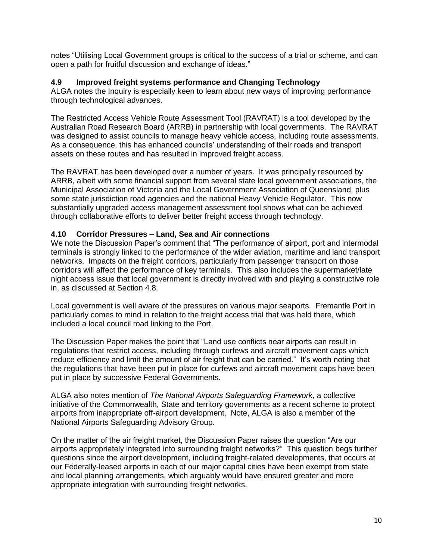notes "Utilising Local Government groups is critical to the success of a trial or scheme, and can open a path for fruitful discussion and exchange of ideas."

#### **4.9 Improved freight systems performance and Changing Technology**

ALGA notes the Inquiry is especially keen to learn about new ways of improving performance through technological advances.

The Restricted Access Vehicle Route Assessment Tool (RAVRAT) is a tool developed by the Australian Road Research Board (ARRB) in partnership with local governments. The RAVRAT was designed to assist councils to manage heavy vehicle access, including route assessments. As a consequence, this has enhanced councils' understanding of their roads and transport assets on these routes and has resulted in improved freight access.

The RAVRAT has been developed over a number of years. It was principally resourced by ARRB, albeit with some financial support from several state local government associations, the Municipal Association of Victoria and the Local Government Association of Queensland, plus some state jurisdiction road agencies and the national Heavy Vehicle Regulator. This now substantially upgraded access management assessment tool shows what can be achieved through collaborative efforts to deliver better freight access through technology.

#### **4.10 Corridor Pressures – Land, Sea and Air connections**

We note the Discussion Paper's comment that "The performance of airport, port and intermodal terminals is strongly linked to the performance of the wider aviation, maritime and land transport networks. Impacts on the freight corridors, particularly from passenger transport on those corridors will affect the performance of key terminals. This also includes the supermarket/late night access issue that local government is directly involved with and playing a constructive role in, as discussed at Section 4.8.

Local government is well aware of the pressures on various major seaports. Fremantle Port in particularly comes to mind in relation to the freight access trial that was held there, which included a local council road linking to the Port.

The Discussion Paper makes the point that "Land use conflicts near airports can result in regulations that restrict access, including through curfews and aircraft movement caps which reduce efficiency and limit the amount of air freight that can be carried." It's worth noting that the regulations that have been put in place for curfews and aircraft movement caps have been put in place by successive Federal Governments.

ALGA also notes mention of *The National Airports Safeguarding Framework*, a collective initiative of the Commonwealth, State and territory governments as a recent scheme to protect airports from inappropriate off-airport development. Note, ALGA is also a member of the National Airports Safeguarding Advisory Group.

On the matter of the air freight market, the Discussion Paper raises the question "Are our airports appropriately integrated into surrounding freight networks?" This question begs further questions since the airport development, including freight-related developments, that occurs at our Federally-leased airports in each of our major capital cities have been exempt from state and local planning arrangements, which arguably would have ensured greater and more appropriate integration with surrounding freight networks.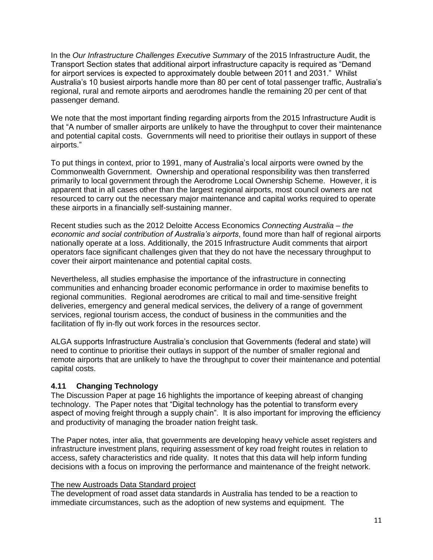In the *Our Infrastructure Challenges Executive Summary* of the 2015 Infrastructure Audit, the Transport Section states that additional airport infrastructure capacity is required as "Demand for airport services is expected to approximately double between 2011 and 2031." Whilst Australia's 10 busiest airports handle more than 80 per cent of total passenger traffic, Australia's regional, rural and remote airports and aerodromes handle the remaining 20 per cent of that passenger demand.

We note that the most important finding regarding airports from the 2015 Infrastructure Audit is that "A number of smaller airports are unlikely to have the throughput to cover their maintenance and potential capital costs. Governments will need to prioritise their outlays in support of these airports."

To put things in context, prior to 1991, many of Australia's local airports were owned by the Commonwealth Government. Ownership and operational responsibility was then transferred primarily to local government through the Aerodrome Local Ownership Scheme. However, it is apparent that in all cases other than the largest regional airports, most council owners are not resourced to carry out the necessary major maintenance and capital works required to operate these airports in a financially self-sustaining manner.

Recent studies such as the 2012 Deloitte Access Economics *Connecting Australia – the economic and social contribution of Australia's airports*, found more than half of regional airports nationally operate at a loss. Additionally, the 2015 Infrastructure Audit comments that airport operators face significant challenges given that they do not have the necessary throughput to cover their airport maintenance and potential capital costs.

Nevertheless, all studies emphasise the importance of the infrastructure in connecting communities and enhancing broader economic performance in order to maximise benefits to regional communities. Regional aerodromes are critical to mail and time-sensitive freight deliveries, emergency and general medical services, the delivery of a range of government services, regional tourism access, the conduct of business in the communities and the facilitation of fly in-fly out work forces in the resources sector.

ALGA supports Infrastructure Australia's conclusion that Governments (federal and state) will need to continue to prioritise their outlays in support of the number of smaller regional and remote airports that are unlikely to have the throughput to cover their maintenance and potential capital costs.

#### **4.11 Changing Technology**

The Discussion Paper at page 16 highlights the importance of keeping abreast of changing technology. The Paper notes that "Digital technology has the potential to transform every aspect of moving freight through a supply chain". It is also important for improving the efficiency and productivity of managing the broader nation freight task.

The Paper notes, inter alia, that governments are developing heavy vehicle asset registers and infrastructure investment plans, requiring assessment of key road freight routes in relation to access, safety characteristics and ride quality. It notes that this data will help inform funding decisions with a focus on improving the performance and maintenance of the freight network.

#### The new Austroads Data Standard project

The development of road asset data standards in Australia has tended to be a reaction to immediate circumstances, such as the adoption of new systems and equipment. The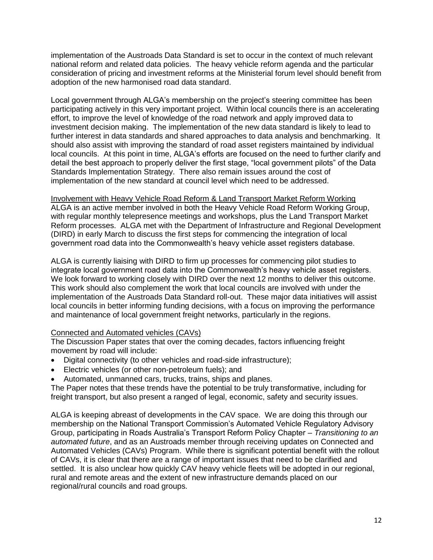implementation of the Austroads Data Standard is set to occur in the context of much relevant national reform and related data policies. The heavy vehicle reform agenda and the particular consideration of pricing and investment reforms at the Ministerial forum level should benefit from adoption of the new harmonised road data standard.

Local government through ALGA's membership on the project's steering committee has been participating actively in this very important project. Within local councils there is an accelerating effort, to improve the level of knowledge of the road network and apply improved data to investment decision making. The implementation of the new data standard is likely to lead to further interest in data standards and shared approaches to data analysis and benchmarking. It should also assist with improving the standard of road asset registers maintained by individual local councils. At this point in time, ALGA's efforts are focused on the need to further clarify and detail the best approach to properly deliver the first stage, "local government pilots" of the Data Standards Implementation Strategy. There also remain issues around the cost of implementation of the new standard at council level which need to be addressed.

Involvement with Heavy Vehicle Road Reform & Land Transport Market Reform Working ALGA is an active member involved in both the Heavy Vehicle Road Reform Working Group, with regular monthly telepresence meetings and workshops, plus the Land Transport Market Reform processes. ALGA met with the Department of Infrastructure and Regional Development (DIRD) in early March to discuss the first steps for commencing the integration of local government road data into the Commonwealth's heavy vehicle asset registers database.

ALGA is currently liaising with DIRD to firm up processes for commencing pilot studies to integrate local government road data into the Commonwealth's heavy vehicle asset registers. We look forward to working closely with DIRD over the next 12 months to deliver this outcome. This work should also complement the work that local councils are involved with under the implementation of the Austroads Data Standard roll-out. These major data initiatives will assist local councils in better informing funding decisions, with a focus on improving the performance and maintenance of local government freight networks, particularly in the regions.

#### Connected and Automated vehicles (CAVs)

The Discussion Paper states that over the coming decades, factors influencing freight movement by road will include:

- Digital connectivity (to other vehicles and road-side infrastructure);
- Electric vehicles (or other non-petroleum fuels); and
- Automated, unmanned cars, trucks, trains, ships and planes.

The Paper notes that these trends have the potential to be truly transformative, including for freight transport, but also present a ranged of legal, economic, safety and security issues.

ALGA is keeping abreast of developments in the CAV space. We are doing this through our membership on the National Transport Commission's Automated Vehicle Regulatory Advisory Group, participating in Roads Australia's Transport Reform Policy Chapter – *Transitioning to an automated future*, and as an Austroads member through receiving updates on Connected and Automated Vehicles (CAVs) Program. While there is significant potential benefit with the rollout of CAVs, it is clear that there are a range of important issues that need to be clarified and settled. It is also unclear how quickly CAV heavy vehicle fleets will be adopted in our regional, rural and remote areas and the extent of new infrastructure demands placed on our regional/rural councils and road groups.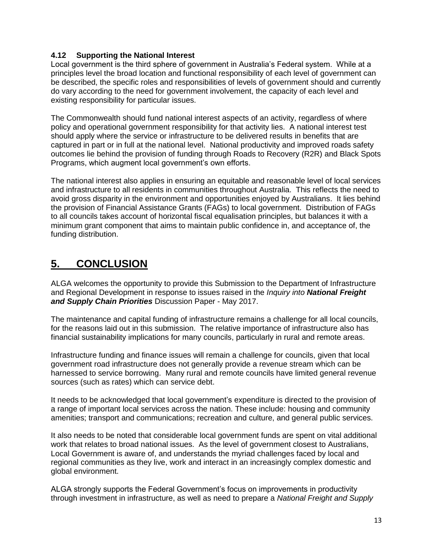#### **4.12 Supporting the National Interest**

Local government is the third sphere of government in Australia's Federal system. While at a principles level the broad location and functional responsibility of each level of government can be described, the specific roles and responsibilities of levels of government should and currently do vary according to the need for government involvement, the capacity of each level and existing responsibility for particular issues.

The Commonwealth should fund national interest aspects of an activity, regardless of where policy and operational government responsibility for that activity lies. A national interest test should apply where the service or infrastructure to be delivered results in benefits that are captured in part or in full at the national level. National productivity and improved roads safety outcomes lie behind the provision of funding through Roads to Recovery (R2R) and Black Spots Programs, which augment local government's own efforts.

The national interest also applies in ensuring an equitable and reasonable level of local services and infrastructure to all residents in communities throughout Australia. This reflects the need to avoid gross disparity in the environment and opportunities enjoyed by Australians. It lies behind the provision of Financial Assistance Grants (FAGs) to local government. Distribution of FAGs to all councils takes account of horizontal fiscal equalisation principles, but balances it with a minimum grant component that aims to maintain public confidence in, and acceptance of, the funding distribution.

## **5. CONCLUSION**

ALGA welcomes the opportunity to provide this Submission to the Department of Infrastructure and Regional Development in response to issues raised in the *Inquiry into National Freight and Supply Chain Priorities* Discussion Paper - May 2017.

The maintenance and capital funding of infrastructure remains a challenge for all local councils, for the reasons laid out in this submission. The relative importance of infrastructure also has financial sustainability implications for many councils, particularly in rural and remote areas.

Infrastructure funding and finance issues will remain a challenge for councils, given that local government road infrastructure does not generally provide a revenue stream which can be harnessed to service borrowing. Many rural and remote councils have limited general revenue sources (such as rates) which can service debt.

It needs to be acknowledged that local government's expenditure is directed to the provision of a range of important local services across the nation. These include: housing and community amenities; transport and communications; recreation and culture, and general public services.

It also needs to be noted that considerable local government funds are spent on vital additional work that relates to broad national issues. As the level of government closest to Australians, Local Government is aware of, and understands the myriad challenges faced by local and regional communities as they live, work and interact in an increasingly complex domestic and global environment.

ALGA strongly supports the Federal Government's focus on improvements in productivity through investment in infrastructure, as well as need to prepare a *National Freight and Supply*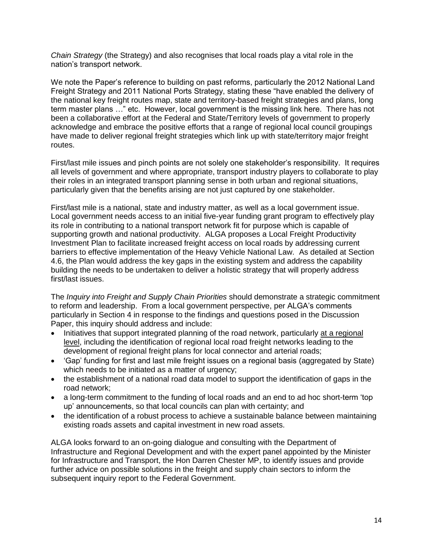*Chain Strategy* (the Strategy) and also recognises that local roads play a vital role in the nation's transport network.

We note the Paper's reference to building on past reforms, particularly the 2012 National Land Freight Strategy and 2011 National Ports Strategy, stating these "have enabled the delivery of the national key freight routes map, state and territory-based freight strategies and plans, long term master plans …" etc. However, local government is the missing link here. There has not been a collaborative effort at the Federal and State/Territory levels of government to properly acknowledge and embrace the positive efforts that a range of regional local council groupings have made to deliver regional freight strategies which link up with state/territory major freight routes.

First/last mile issues and pinch points are not solely one stakeholder's responsibility. It requires all levels of government and where appropriate, transport industry players to collaborate to play their roles in an integrated transport planning sense in both urban and regional situations, particularly given that the benefits arising are not just captured by one stakeholder.

First/last mile is a national, state and industry matter, as well as a local government issue. Local government needs access to an initial five-year funding grant program to effectively play its role in contributing to a national transport network fit for purpose which is capable of supporting growth and national productivity. ALGA proposes a Local Freight Productivity Investment Plan to facilitate increased freight access on local roads by addressing current barriers to effective implementation of the Heavy Vehicle National Law. As detailed at Section 4.6, the Plan would address the key gaps in the existing system and address the capability building the needs to be undertaken to deliver a holistic strategy that will properly address first/last issues.

The *Inquiry into Freight and Supply Chain Priorities* should demonstrate a strategic commitment to reform and leadership. From a local government perspective, per ALGA's comments particularly in Section 4 in response to the findings and questions posed in the Discussion Paper, this inquiry should address and include:

- Initiatives that support integrated planning of the road network, particularly at a regional level, including the identification of regional local road freight networks leading to the development of regional freight plans for local connector and arterial roads;
- 'Gap' funding for first and last mile freight issues on a regional basis (aggregated by State) which needs to be initiated as a matter of urgency;
- the establishment of a national road data model to support the identification of gaps in the road network;
- a long-term commitment to the funding of local roads and an end to ad hoc short-term 'top up' announcements, so that local councils can plan with certainty; and
- the identification of a robust process to achieve a sustainable balance between maintaining existing roads assets and capital investment in new road assets.

ALGA looks forward to an on-going dialogue and consulting with the Department of Infrastructure and Regional Development and with the expert panel appointed by the Minister for Infrastructure and Transport, the Hon Darren Chester MP, to identify issues and provide further advice on possible solutions in the freight and supply chain sectors to inform the subsequent inquiry report to the Federal Government.